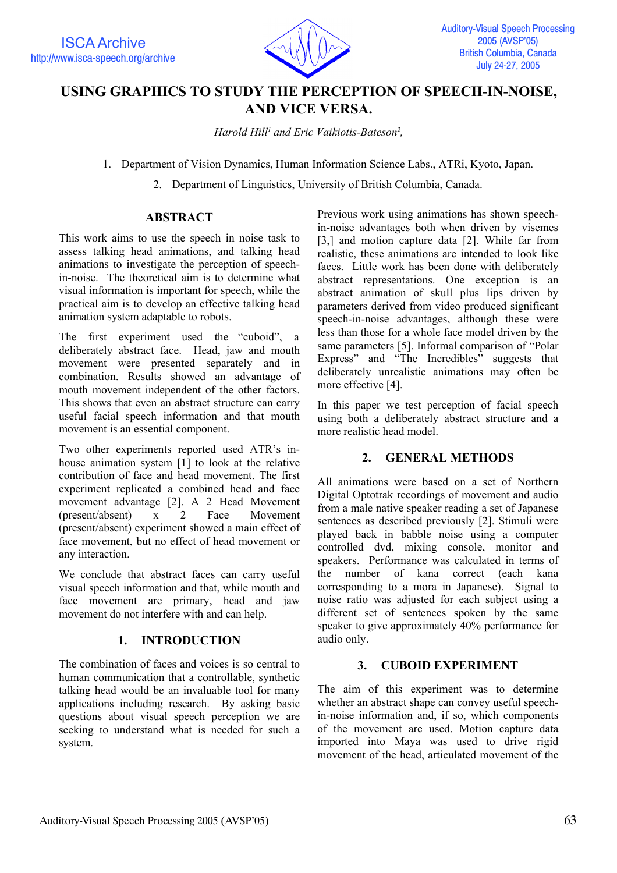

# **USING GRAPHICS TO STUDY THE PERCEPTION OF SPEECH-IN-NOISE, AND VICE VERSA.**

Harold Hill<sup>1</sup> and Eric Vaikiotis-Bateson<sup>2</sup>,

1. Department of Vision Dynamics, Human Information Science Labs., ATRi, Kyoto, Japan.

2. Department of Linguistics, University of British Columbia, Canada.

# **ABSTRACT**

This work aims to use the speech in noise task to assess talking head animations, and talking head animations to investigate the perception of speechin-noise. The theoretical aim is to determine what visual information is important for speech, while the practical aim is to develop an effective talking head animation system adaptable to robots.

The first experiment used the "cuboid", a deliberately abstract face. Head, jaw and mouth movement were presented separately and in combination. Results showed an advantage of mouth movement independent of the other factors. This shows that even an abstract structure can carry useful facial speech information and that mouth movement is an essential component.

Two other experiments reported used ATR's inhouse animation system [1] to look at the relative contribution of face and head movement. The first experiment replicated a combined head and face movement advantage [2]. A 2 Head Movement (present/absent) x 2 Face Movement (present/absent) experiment showed a main effect of face movement, but no effect of head movement or any interaction.

We conclude that abstract faces can carry useful visual speech information and that, while mouth and face movement are primary, head and jaw movement do not interfere with and can help.

# **1. INTRODUCTION**

The combination of faces and voices is so central to human communication that a controllable, synthetic talking head would be an invaluable tool for many applications including research. By asking basic questions about visual speech perception we are seeking to understand what is needed for such a system.

Previous work using animations has shown speechin-noise advantages both when driven by visemes [3,] and motion capture data [2]. While far from realistic, these animations are intended to look like faces. Little work has been done with deliberately abstract representations. One exception is an abstract animation of skull plus lips driven by parameters derived from video produced significant speech-in-noise advantages, although these were less than those for a whole face model driven by the same parameters [5]. Informal comparison of "Polar Express" and "The Incredibles" suggests that deliberately unrealistic animations may often be more effective [4].

In this paper we test perception of facial speech using both a deliberately abstract structure and a more realistic head model.

#### **2. GENERAL METHODS**

All animations were based on a set of Northern Digital Optotrak recordings of movement and audio from a male native speaker reading a set of Japanese sentences as described previously [2]. Stimuli were played back in babble noise using a computer controlled dvd, mixing console, monitor and speakers. Performance was calculated in terms of the number of kana correct (each kana corresponding to a mora in Japanese). Signal to noise ratio was adjusted for each subject using a different set of sentences spoken by the same speaker to give approximately 40% performance for audio only.

#### **3. CUBOID EXPERIMENT**

The aim of this experiment was to determine whether an abstract shape can convey useful speechin-noise information and, if so, which components of the movement are used. Motion capture data imported into Maya was used to drive rigid movement of the head, articulated movement of the